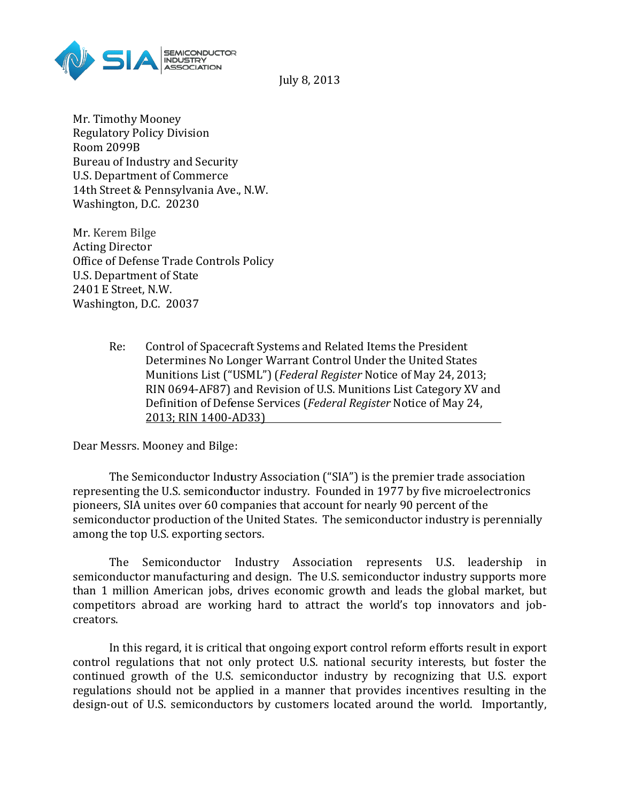

July 8, 2013

Mr. Timothy Mooney Regulatory Policy Division Room 2099B Bureau of Industry and Security U.S. Department of Commerce 14th Street & Pennsylvania Ave., N.W. Washington, D.C. 20230

Mr. Kerem Bilge Acting Director Office of Defense Trade Controls Policy U.S. Department of State 2401 E Street, N.W. Washington, D.C. 20037 Industry and Security<br>
tment of Commerce<br>
t & Pennsylvania Ave., N.W.<br>
on, D.C. 20230<br>
Bilge<br>
ector<br>
efense Trade Controls Policy<br>
tment of State<br>
eet, N.W.<br>
on, D.C. 20037<br>
Control of Spacecraft Systems and Related Items

Re: Control of Spacecraft Systems and Related Items the President Determines No Longer Warrant Control Un Munitions List ("USML") ( ("USML") *Federal Register* Notice of May 24, 2013; RIN 0694-AF87) and Revision of U.S. Munitions List Category XV and Definition of Defense Services ( Defense Services *Federal Register* Notice of May 24, 2013; RIN 1400-AD33)

Dear Messrs. Mooney and Bilge:

The Semiconductor Industry Association ("SIA") is the premier trade association Dear Messrs. Mooney and Bilge:<br>The Semiconductor Industry Association ("SIA") is the premier trade association<br>representing the U.S. semiconductor industry. Founded in 1977 by five microelectronics pioneers, SIA unites over 60 companies that account for nearly 90 percent of the semiconductor production of the United States. The semiconductor industry is perennially among the top U.S. exporting sectors. I Register Notice of May 24, 2013;<br>
FU.S. Munitions List Category XV and<br>
Federal Register Notice of May 24,<br>
The Benderal Register Notice of May 24,<br>
The Summer List Only 24,<br>
The Summer Cover of the<br>
Summer Summer Infere

The Semiconductor Industry Association represents U.S. leadership in semiconductor production of the United States. The semiconductor industry is perennially<br>among the top U.S. exporting sectors.<br>The Semiconductor Industry Association represents U.S. leadership in<br>semiconductor manufacturin than 1 million American jobs, drives economic growth and leads the global market, but competitors abroad are working hard to attract the world's top innovators and job creators. million American jobs, drives economic growth and leads the global market, but<br>titors abroad are working hard to attract the world's top innovators and job-<br>s.<br>In this regard, it is critical that ongoing export control ref Determines No Longer Warrant Control Under the United States<br>
Munitions List ("USML") (Federal Register Notice of May 24, 2013;<br>
RIN 0694-AF87) and Revision of U.S. Munitions List Category XV and<br>
Definition of Defense Ser

In this regard, it is critical that ongoing export control reform efforts result in export control regulations that not only protect U.S. national security interests, but foster the continued growth of the U.S. semiconductor industry by recognizing that U.S. export regulations should not be applied in a manner that provides incentives resulting in the design-out of U.S. semiconductors by customers located around the world. Importantly,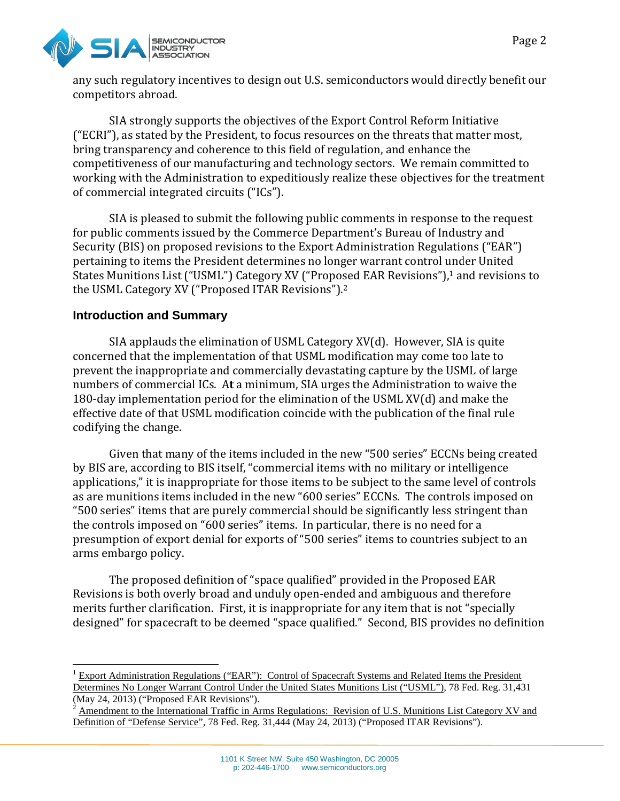

any such regulatory incentives to design out U.S. semiconductors would directly benefit our competitors abroad.

SIA strongly supports the objectives of the Export Control Reform Initiative ("ECRI"), as stated by the President, to focus resources on the threats that matter most, bring transparency and coherence to this field of regulation, and enhance the competitiveness of our manufacturing and technology sectors. We remain committed to working with the Administration to expeditiously realize these objectives for the treatment of commercial integrated circuits ("ICs"). incentives design out U.S. semiconductors would directly benefit our competitors abroad.<br>
SIA strongly supports the objectives of the Export Control Reform Initiative<br>
("ECRI"), as stated by the President, to focus resourc

SIA is pleased to submit the following public comments in response to the request for public comments issued by the Commerce Department's Bureau of Industry and Security (BIS) on proposed revisions to the Export Administration Regulations ("EAR") Security (BIS) on proposed revisions to the Export Administration Regulations ("EAR")<br>pertaining to items the President determines no longer warrant control under United States Munitions List ("USML") Category XV ("Proposed EAR Revisions"),<sup>1</sup> and revisions to the USML Category XV ("Proposed ITAR Revisions"). 2

# **Introduction and Summary**

SIA applauds the elimination of USML Category XV(d). However, SIA is quite concerned that the implementation of that USML modification may come too late to prevent the inappropriate and commercially devastating capture by the USML of large numbers of commercial ICs. At a minimum, SIA urges the Administration to waive the 180-day implementation period for the elimination of the USML XV(d) and make the effective date of that USML modification coincide with the publication of the final rule codifying the change. day implementation period for the elimination of the USML XV(d) and make the<br>tive date of that USML modification coincide with the publication of the final rule<br>ying the change.<br>Given that many of the items included in the concerned that the implementation of that USML modification may come too late to<br>prevent the inappropriate and commercially devastating capture by the USML of large<br>numbers of commercial ICs. At a minimum, SIA urges the A

by BIS are, according to BIS itself, "commercial items with no military or intelligence by BIS are, according to BIS itself, "commercial items with no military or intelligence<br>applications," it is inappropriate for those items to be subject to the same level of controls as are munitions items included in the new "600 series" ECCNs. The controls imposed on "500 series" items that are purely commercial should be significantly less stringent than the controls imposed on "600 series" items. In particular, there is no need for a presumption of export denial for exports of "500 series" items to countries subject to an arms embargo policy. it are purely commercial should be significantly less stringent than<br>on "600 series" items. In particular, there is no need for a<br>t denial for exports of "500 series" items to countries subject to an<br>definition of "space q is no longer warrant control under United<br>("Proposed EAR Revisions").<sup>1</sup> and revisions to<br>visions").<sup>2</sup><br>L Category XV(d). However, SIA is quite<br>USML modification may come too late to<br>SIA urges the Administration to waive t

The proposed definition of "space qualified" provided in the Proposed EAR Revisions is both overly broad and unduly open-ended and ambiguous and therefore merits further clarification. First, it is inappropriate for any item that is not "specially merits further clarification. First, it is inappropriate for any item that is not "specially<br>designed" for spacecraft to be deemed "space qualified." Second, BIS provides no definition

<sup>&</sup>lt;sup>1</sup> Export Administration Regulations ("EAR"): Control of Spacecraft Systems and Related Items the President <sup>1</sup> Export Administration Regulations ("EAR"): Control of Spacecraft Systems and Related Items the President<br>Determines No Longer Warrant Control Under the United States Munitions List ("USML"), 78 Fed. Reg. 31,431 (May 24, 2013) ("Proposed EAR Revisions"). (May 24, 2013) ("Proposed EAR Revisions").<br><sup>2</sup> Amendment to the International Traffic in Arms Regulations: Revision of U.S. Munitions List Category XV and

Definition of "Defense Service", 78 Fed. Reg. 31,444 (May 24, 2013) ("Proposed ITAR Revisions").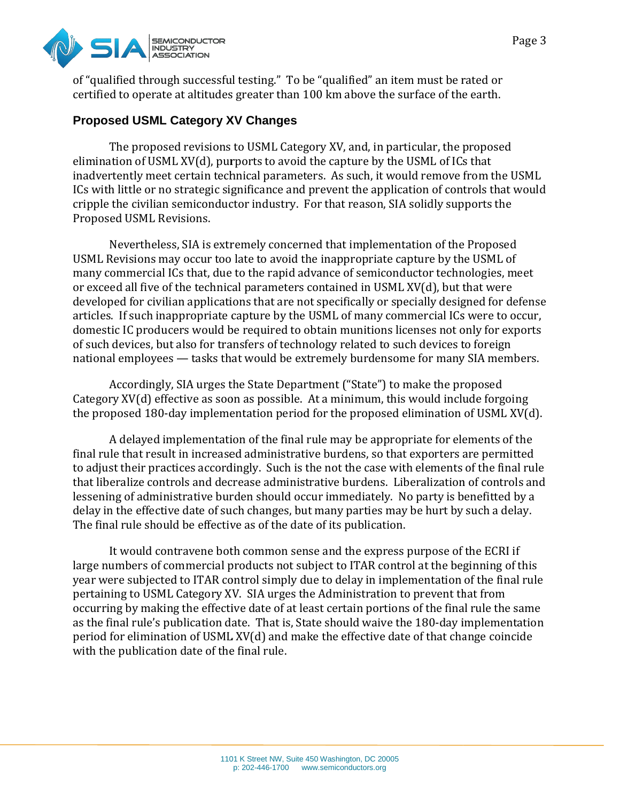

of "qualified through successful testing." To be "qualified" an item must be rated or of "qualified through successful testing." To be "qualified" an item must be rated or<br>certified to operate at altitudes greater than 100 km above the surface of the earth.

## **Proposed USML Category XV Changes Changes**

The proposed revisions to USML Category XV, and, in particular, the proposed elimination of USML XV(d), purports to avoid the capture by the USML of ICs that inadvertently meet certain technical parameters. As such, it would remove from the USML ICs with little or no strategic significance and prevent the application of controls that would cripple the civilian semiconductor industry. For that reason, SIA solidly supports the Proposed USML Revisions.

Nevertheless, SIA is extremely concerned that implementation of the Proposed USML Revisions may occur too late to avoid the inappropriate capture by the USML of USML Revisions may occur too late to avoid the inappropriate capture by the USML of<br>many commercial ICs that, due to the rapid advance of semiconductor technologies, meet or exceed all five of the technical parameters contained in USML XV(d), but that were developed for civilian applications that are not specifically or specially designed for defense articles. If such inappropriate capture by the USML of many commercial ICs were to occur, domestic IC producers would be required to obtain munitions licenses not only for exports of such devices, but also for transfers of technology related to such devices to foreign national employees — tasks that would be extremely burdensome for many SIA members. or exceed all five of the technical parameters contained in USML XV(d), but that were<br>developed for civilian applications that are not specifically or specially designed for defense<br>articles. If such inappropriate capture

Accordingly, SIA urges the State Department ("State") to make the proposed Category XV(d) effective as soon as possible. At a minimum, this would include forgoing the proposed 180-day implementation period for the proposed elimination of USML XV(d).

A delayed implementation of the final rule may be appropriate for elements of the final rule that result in increased administrative burdens, so that exporters are permitted to adjust their practices accordingly. Such is the not the case with elements of the final rule that liberalize controls and decrease administrative burdens. Liberalization of controls and lessening of administrative burden should occur immediately. No party is benefitted by a delay in the effective date of such changes, but many parties may be hurt by such a delay. The final rule should be effective as of the date of its publication. n the effective date of such changes, but many parties may be hurt by such a delay.<br>al rule should be effective as of the date of its publication.<br>It would contravene both common sense and the express purpose of the ECRI i rcial ICs that, due to the rapid advance of semiconductor technologies, meet<br>five of the technical parameters contained in USML XV(d), but that were<br>c civilian applications that are not specifically or specially designed f

large numbers of commercial products not subject to ITAR control at the beginning of this year were subjected to ITAR control simply due to delay in implementation of the final rule large numbers of commercial products not subject to ITAR control at the beginning of thi<br>year were subjected to ITAR control simply due to delay in implementation of the final ru<br>pertaining to USML Category XV. SIA urges occurring by making the effective date of at least certain portions of the final rule the same occurring by making the effective date of at least certain portions of the final rule the same<br>as the final rule's publication date. That is, State should waive the 180-day implementation period for elimination of USML XV(d) and make the effective date of that change coincide with the publication date of the final rule. istration to prevent that from<br>in portions of the final rule the<br>ld waive the 180-day implemen<br>fective date of that change coinc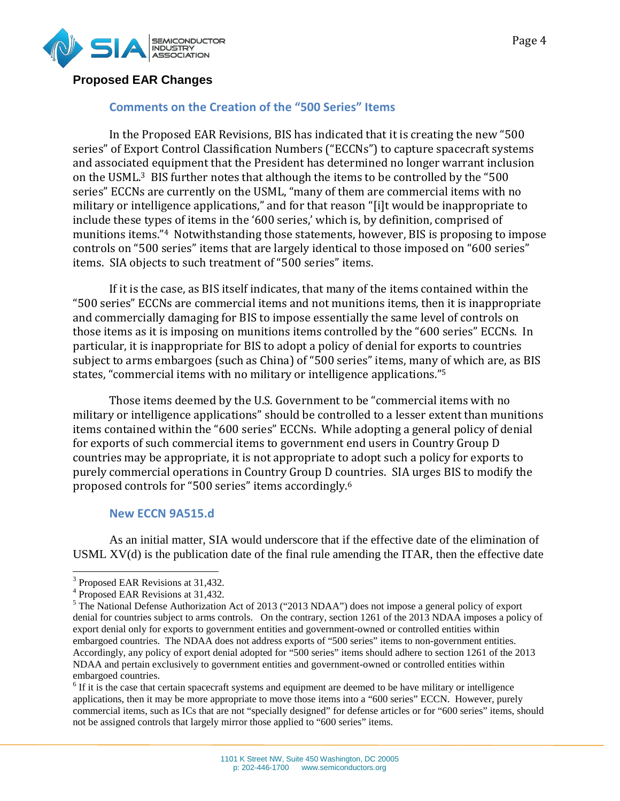

### **Proposed EAR Changes**

## **Comments on the Creation of the "500 Series" Items**

In the Proposed EAR Revisions, BIS has indicated that it is creating the new "500 series" of Export Control Classification Numbers ("ECCNs") to capture spacecraft systems and associated equipment that the President has determined no longer warrant inclusion on the USML.<sup>3</sup> BIS further notes that although the items to be controlled by the "500 series" ECCNs are currently on the USML, "many of them are commercial items with no military or intelligence applications," and for that reason "[i]t would be inappropriate to include these types of items in the '600 series,' which is, by definition, comprised of munitions items."<sup>4</sup> Notwithstanding those statements, however, BIS is proposing to impose munitions items."4 Notwithstanding those statements, however, BIS is proposing to impose<br>controls on "500 series" items that are largely identical to those imposed on "600 series" items. SIA objects to such treatment of "500 series" items. series" of Export Control Classification Numbers ("ECCNs") to capture spacecraft systems<br>and associated equipment that the President has determined no longer warrant inclusion<br>on the USML.<sup>3</sup> BIS further notes that althoug Fague 4<br>
Fragmentine Creation of the "500 Series" thems<br>
Series on the Creation of the "500 series" thems<br>
and HAR Revisions, BIS has indicated that it is creating the new "500<br>
parametrization in the Ursalical material c

If it is the case, as BIS itself indicates, that many of the items contained within the "500 series" ECCNs are commercial items and not munitions items, then it is inappropriate and commercially damaging for BIS to impose essentially the same level of controls on those items as it is imposing on munitions items controlled by the "600 series" ECCNs. In particular, it is inappropriate for BIS to adopt a policy of denial for exports to countries subject to arms embargoes (such as China) of "500 series" items, many of which are, as BIS states, "commercial items with no military or intelligence applications."<sup>5</sup> SIA objects to such treatment of "500 series" items.<br>f it is the case, as BIS itself indicates, that many of the items contained within the<br>ries" ECCNs are commercial items and not munitions items, then it is inappropriate

Those items deemed by the U.S. Government to be "commercial items with no military or intelligence applications" should be controlled to a lesser extent than munitions items contained within the "600 series" ECCNs. While adopting a general policy of denial for exports of such commercial items to government end users in Country Group D countries may be appropriate, it is not appropriate to adopt such a policy for exports to purely commercial operations in Country Group D countries. SIA urges BIS to modify the proposed controls for "500 series" items accordingly. military or intelligence applications" should be controlled to a lesser extent than munitioitems contained within the "600 series" ECCNs. While adopting a general policy of denial for exports of such commercial items to go

#### **New ECCN 9A515.d**

As an initial matter, SIA would underscore that if the effective date of the elimination of As an initial matter, SIA would underscore that if the effective date of the elimination of USML  $XV(d)$  is the publication date of the final rule amending the ITAR, then the effective date

 $6$  If it is the case that certain spacecraft systems and equipment are deemed to be have military or intelligence <sup>6</sup> If it is the case that certain spacecraft systems and equipment are deemed to be have military or intelligence applications, then it may be more appropriate to move those items into a "600 series" ECCN. However, purely commercial items, such as ICs that are not "specially designed" for defense articles or for "600 series" items, should not be assigned controls that largely mirror those applied to "600 series" items.

<sup>&</sup>lt;sup>3</sup> Proposed EAR Revisions at 31,432.

<sup>&</sup>lt;sup>4</sup> Proposed EAR Revisions at 31,432.

<sup>&</sup>lt;sup>5</sup> The National Defense Authorization Act of 2013 ("2013 NDAA") does not impose a general policy of export denial for countries subject to arms controls. On the contrary, section 1261 of the 2013 NDAA imposes a policy of export denial only for exports to government entities and government-owned or controlled entities within embargoed countries. The NDAA does not address exports of "500 series" items to non-government entities. Accordingly, any policy of export denial adopted for "500 series" items should adhere to section 1261 of the 2013<br>NDAA and pertain exclusively to government entities and government-owned or controlled entities within NDAA and pertain exclusively to government entities and government embargoed countries. The National Defense Authorization Act of 2013 ("2013 NDAA") does not impose a general policy of exportenial for countries subject to arms controls. On the contrary, section 1261 of the 2013 NDAA imposes a policy or denial owned or controlled entities within<br>ries" items to non-government entities.<br>s should adhere to section 1261 of the 1<br>t-owned or controlled entities within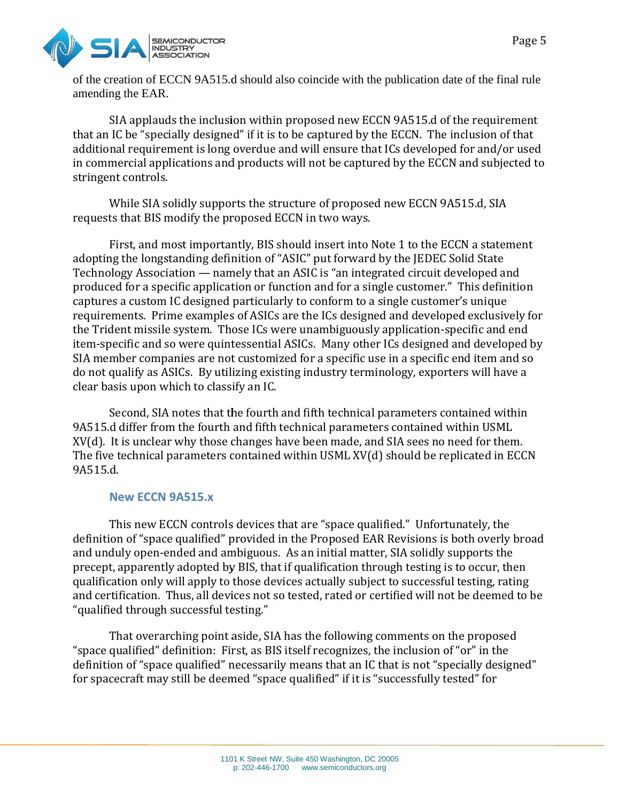

of the creation of ECCN 9A515.d should also coincide with the publication date of the final rule amending the EAR.

SIA applauds the inclusion within proposed new ECCN 9A515.d of the requirement that an IC be "specially designed" if it is to be captured by the ECCN. The inclusion of that additional requirement is long overdue and will ensure that ICs developed for and/or used that an IC be "specially designed" if it is to be captured by the ECCN. The inclusion of that<br>additional requirement is long overdue and will ensure that ICs developed for and/or used<br>in commercial applications and product stringent controls.

While SIA solidly supports the structure of proposed new ECCN 9A515.d, SIA requests that BIS modify the proposed ECCN in two ways.

ts that BIS modify the proposed ECCN in two ways.<br>First, and most importantly, BIS should insert into Note 1 to the ECCN a statement adopting the longstanding definition of "ASIC" put forward by the JEDEC Solid State Technology Association — namely that an ASIC is "an integrated circuit developed and produced for a specific application or function and for a single customer." This definition captures a custom IC designed particularly to conform to a single customer's unique requirements. Prime examples of ASICs are the ICs designed and developed exclusively for the Trident missile system. Those ICs were unambiguously application-specific and end item-specific and so were quintessential ASICs. Many other ICs designed and developed by SIA member companies are not customized for a specific use in a specific end item and so do not qualify as ASICs. By utilizing existing industry terminology, exporters will have a clear basis upon which to classify an IC. specific and so were quintessential ASICs. Many other ICs designed and developed<br>nember companies are not customized for a specific use in a specific end item and s<br>is qualify as ASICs. By utilizing existing industry termi Page 5<br>
Page 5<br>
Page 5<br>
CRECIN 9AS15.d should also coincide with the publication date of the final rule<br>
ARE.<br>
ARE.<br>
CRECIN 9AS15.d should also coincide with the publication date of the requirement<br>
should stigned" if it i is captured Solid and products will not be captured by the ECCN and subjected to<br>solidly supports the structure of proposed new ECCN 9A515.d, SIA<br>modify the proposed ECCN in two ways.<br>the modify the proposed ECCN in two wa

Second, SIA notes that the fourth and fifth technical parameters contained within 9A515.d differ from the fourth and fifth technical parameters contained within USML XV(d). It is unclear why those changes have been made, and SIA sees no need for them. XV(d). It is unclear why those changes have been made, and SIA sees no need for them.<br>The five technical parameters contained within USML XV(d) should be replicated in ECCN 9A515.d.

### **New ECCN 9A515.x**

This new ECCN controls devices that are "space qualified." Unfortunately, the definition of "space qualified" provided in the Proposed EAR Revisions is both overly broad and unduly open-ended and ambiguous. As an initial matter, SIA solidly supports the and unduly open-ended and ambiguous. As an initial matter, SIA solidly supports the<br>precept, apparently adopted by BIS, that if qualification through testing is to occur, then qualification only will apply to those devices actually subject to successful testing, rating and certification. Thus, all devices not so tested, rated or certified will not be deemed to be "qualified through successful testing." cation only will apply to those devices actually subject to successful testing, rating<br>tification. Thus, all devices not so tested, rated or certified will not be deemed to be<br>ed through successful testing."<br>That overarchi

That overarching point aside, SIA has the following comments on the proposed "space qualified" definition: First, as BIS itself recognizes, the inclusion of "or" in the "space qualified" definition: First, as BIS itself recognizes, the inclusion of "or" in the<br>definition of "space qualified" necessarily means that an IC that is not "specially designed" for spacecraft may still be deemed "space qualified" if it is "successfully tested" for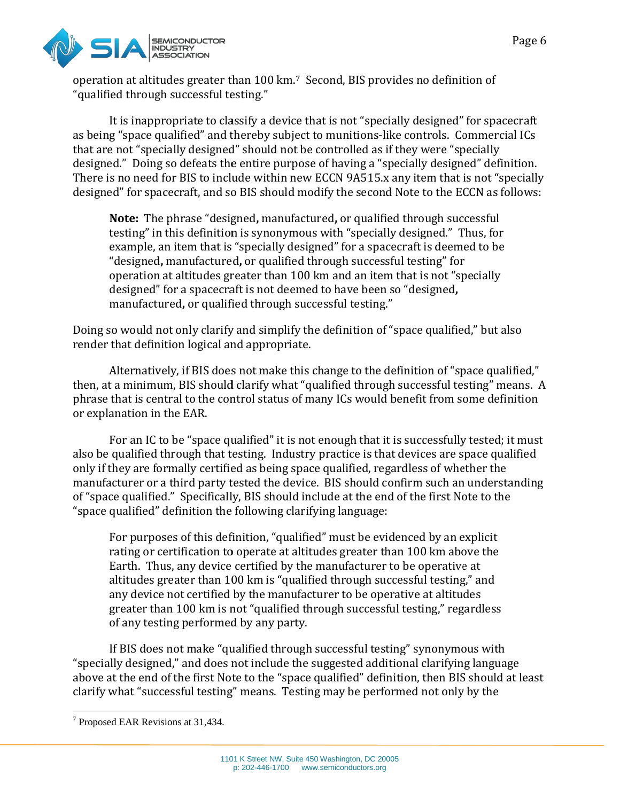

operation at altitudes greater than 100 km.<sup>7</sup> Second, BIS provides no definition of "qualified through successful testing."

It is inappropriate to classify a device that is not "specially designed" for spacecraft "qualified through successful testing."<br>It is inappropriate to classify a device that is not "specially designed" for spacecraft<br>as being "space qualified" and thereby subject to munitions-like controls. Commercial ICs that are not "specially designed" should not be controlled as if they were "specially designed." Doing so defeats the entire purpose of having a "specially designed" definition. There is no need for BIS to include within new ECCN 9A515.x any item that is not "specially designed" for spacecraft, and so BIS should modify the second Note to the ECCN as follows: that are not "specially designed" should not be controlled as if they were "specially<br>designed." Doing so defeats the entire purpose of having a "specially designed" definition.<br>There is no need for BIS to include within n like controls. Commercial ICs<br>if they were "specially

**Note:** The phrase "designed, manufactured, or qualified through successful testing" in this definition is synonymous with "specially designed." Thus, for example, an item that is "specially designed" for a spacecraft is deemed to be "designed, manufactured, or qualified through successful testing" for operation at altitudes greater than 100 km and an item that is not "specially operation at altitudes greater than 100 km and an item that is not "spe<br>designed" for a spacecraft is not deemed to have been so "designed, manufactured, or qualified through successful testing."

Doing so would not only clarify and simplify the definition of "space qualified," but also render that definition logical and appropriate.

Alternatively, if BIS does not make this change to the definition of "space qualified," then, at a minimum, BIS should clarify what "qualified through successful testing" means. A phrase that is central to the control status of many ICs would benefit from some definition or explanation in the EAR. ould not only clarify and simplify the definition of "space qualified," but also<br>c definition logical and appropriate.<br>rnatively, if BIS does not make this change to the definition of "space qualified,"<br>ninimum, BIS should

For an IC to be "space qualified" it is not enough that it is successfully tested; it must also be qualified through that testing. Industry practice is that devices are space qualified<br>only if they are formally certified as being space qualified, regardless of whether the only if they are formally certified as being space qualified, regardless of whether the manufacturer or a third party tested the device. BIS should confirm such an understanding of "space qualified." Specifically, BIS should include at the end of the first Note to the "space qualified" definition the following clarifying language: alified" it is not enough that it is successfully tested; it r<br>sting. Industry practice is that devices are space qualif<br>d as being space qualified, regardless of whether the<br>sted the device. BIS should confirm such an und

qualified" definition the following clarifying language:<br>For purposes of this definition, "qualified" must be evidenced by an explicit rating or certification to operate at altitudes greater than 100 km above the Earth. Thus, any device certified by the manufacturer to be operative at rating or certification to operate at altitudes greater than 100 km above the<br>Earth. Thus, any device certified by the manufacturer to be operative at<br>altitudes greater than 100 km is "qualified through successful testing any device not certified by the manufacturer to be operative at altitudes greater than 100 km is not "qualified through successful testing," regardless of any testing performed by any party. not certified by the manufacturer to be operative at altitudes<br>n 100 km is not "qualified through successful testing," regardless<br>ng performed by any party.<br>not make "qualified through successful testing" synonymous with

If BIS does not make "qualified through successful testing" synonymous with "specially designed," and does not include the suggested additional clarifying language above at the end of the first Note to the "space qualified" definition, then BIS should at least clarify what "successful testing" means. Testing may be performed not only by the "specially designed," and does not include the suggested additional clarifying language<br>above at the end of the first Note to the "space qualified" definition, then BIS should at lea<br>clarify what "successful testing" means fied through successful testing," and<br>cturer to be operative at altitudes<br>hrough successful testing," regardless<br>h successful testing" synonymous with<br>suggested additional clarifying language<br>e qualified" definition, then

<sup>&</sup>lt;sup>7</sup> Proposed EAR Revisions at 31,434.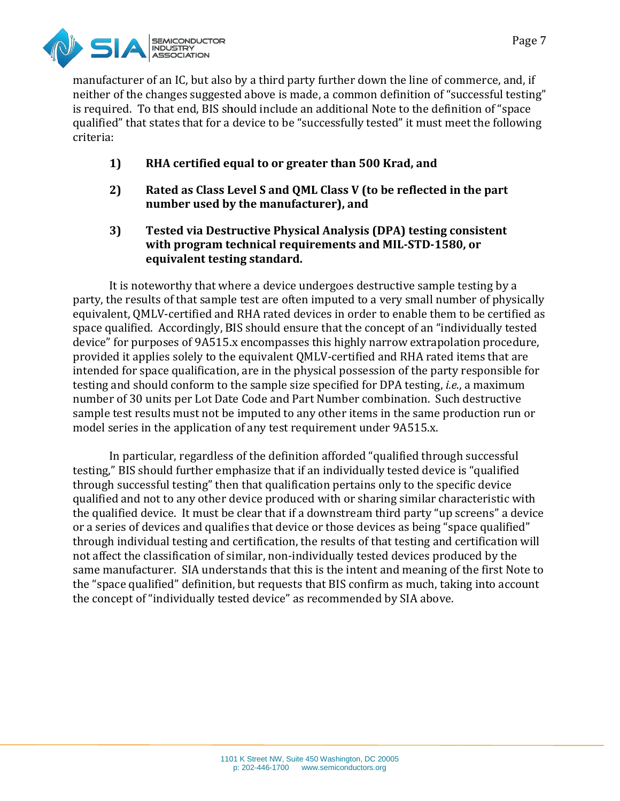

manufacturer of an IC, but also by a third party further down the line of commerce, and, if neither of the changes suggested above is made, a common definition of "successful testing" is required. To that end, BIS shoul d include qualified" that states that for a device to be "successfully tested" it must meet the following criteria: it also by a third party further down the line of commerce, and, if<br>ggested above is made, a common definition of "successful testing"<br>BIS should include an additional Note to the definition of "space

- **1) RHA certified equal to or greater than 500 Krad, and**
- **2) Rated as Class Level S and QML Class V (to be reflected in the part number used by the manufacturer), and** RHA certified equal to or greater than 500 Krad, and<br>Rated as Class Level S and QML Class V (to be reflected in the pa<br>number used by the manufacturer), and<br>Tested via Destructive Physical Analysis (DPA) testing consister<br>
- **3) Tested via Destructive Physical Analysis (DPA) testing consistent equivalent testing standar standard.**

It is noteworthy that where a device undergoes destructive sample testing by a party, the results of that sample test are often imputed to a very small number of physically party, the results of that sample test are often imputed to a very small number of physically<br>equivalent, QMLV-certified and RHA rated devices in order to enable them to be certified as space qualified. Accordingly, BIS should ensure that the concept of an "individually tested device" for purposes of 9A515.x encompasses this highly narrow extrapolation procedure, provided it applies solely to the equivalent QMLV-certified and RHA rated items that are intended for space qualification, are in the physical possession of the party responsible for are party responsible for testing and should conform to the sample size specified for DPA testing, *i.e.*, a maximum number of 30 units per Lot Date Code and Part Number combination. Such destructive sample test results must not be imputed to any other items in the same production run or model series in the application of any test requirement under 9A515.x. test results must not be imputed to any other items in the same production rur<br>series in the application of any test requirement under 9A515.x.<br>In particular, regardless of the definition afforded "qualified through succes Accordingly, BIS should ensure that the concept of an "individually tested<br>oses of 9A515.x encompasses this highly narrow extrapolation procedure,<br>es solely to the equivalent QMLV-certified and RHA rated items that are Page 7<br>
Page 7<br>
arty further down the line of commerce, and, if<br>
ande, a common definition of "successful testing"<br>
" an additional Note to the definition of "space<br>
" "successfully tested" it must meet the following<br> **rea** 

testing," BIS should further emphasize that if an individually tested device is "qualified through successful testing" then that qualification pertains only to the specific device qualified and not to any other device produced with or sharing similar characteristic with the qualified device. It must be clear that if a downstream third party "up screens" a device or a series of devices and qualifies that device or those devices as being "space qualified" through individual testing and certification, the results of that testing and certification will not affect the classification of similar, non-individually tested devices produced by the same manufacturer. SIA understands that this is the intent and meaning of the first Note to the "space qualified" definition, but requests that BIS confirm as much, taking into account the concept of "individually tested device" as recommended by SIA above. qualified device. It must be clear that if a downstream third party "up screens" a device<br>series of devices and qualifies that device or those devices as being "space qualified"<br>ugh individual testing and certification, th size specified for DPA testing, *i.e.*, a maximum<br>Part Number combination. Such destructive<br>o any other items in the same production run<br>requirement under 9A515.x.<br>iition afforded "qualified through successful<br>t if an indi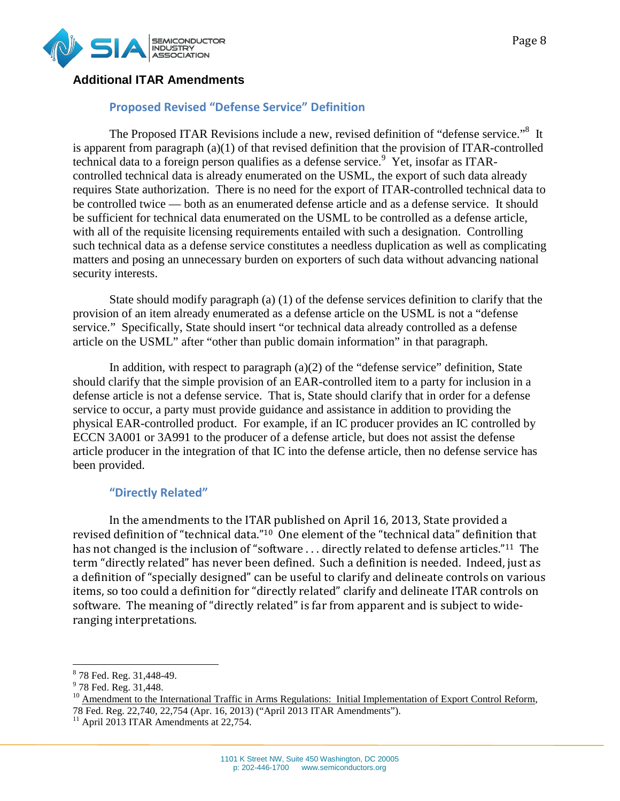

# **Additional ITAR Amendments**

## **Proposed Revised "Defense Service" Definition**

The Proposed ITAR Revisions include a new, revised definition of "defense service."<sup>8</sup> It is apparent from paragraph (a)(1) of that revised definition that the provision of ITAR technical data to a foreign person qualifies as a defense service. Yet, insofar as ITARcontrolled technical data is already enumerated on the USML, the export of such data already controlled technical data is already enumerated on the USML, the export of such data already<br>requires State authorization. There is no need for the export of ITAR-controlled technical data to be controlled twice — both as an enumerated defense article and as a defense service. It should be sufficient for technical data enumerated on the USML to be controlled as a defense article, with all of the requisite licensing requirements entailed with such a designation. Controlling such technical data as a defense service constitutes a needless duplication as well as complicating matters and posing an unnecessary burden on exporters of such data without advancing national security interests. cient for technical data enumerated on the USML to be controlled as a defense article,<br>of the requisite licensing requirements entailed with such a designation. Controlling<br>chinical data as a defense service constitutes a Proposed ITAR Revisions include a new, revised definition of "defense ser<br>from paragraph (a)(1) of that revised definition that the provision of ITAR-<br>ta to a foreign person qualifies as a defense service.<sup>9</sup> Yet, insofar ITAR-controlled authorization. There is no need for the export of ITAR-controlled technical data to<br>wice — both as an enumerated defense article and as a defense service. It should<br>reconical data enumerated on the USML to be controlled as

provision of an item already enumerated as a defense article on the USML is not a "defense service." Specifically, State should insert "or technical data already controlled as a defense article on the USML" after "other than public domain information" in that paragraph. an item already enumerated as a defense article on the USML is not a "defe<br>ecifically, State should insert "or technical data already controlled as a defe<br>: USML" after "other than public domain information" in that paragr

In addition, with respect to paragraph  $(a)(2)$  of the "defense service" definition, State In addition, with respect to paragraph (a)(2) of the "defense service" definition, State should clarify that the simple provision of an EAR-controlled item to a party for inclusion in a defense article is not a defense service. That is, State should clarify that in order for a defense service to occur, a party must provide guidance and assistance in addition to providing the physical EAR-controlled product. For example, if an IC producer provides an IC contro ECCN 3A001 or 3A991 to the producer of a defense article, but does not assist the defense article producer in the integration of that IC into the defense article, then no defense service has been provided. is article is not a defense service. That is, State should clarify that in order for a de to occur, a party must provide guidance and assistance in addition to providing the product. For example, if an IC producer provides

#### **"Directly Related"**

In the amendments to the ITAR published on April 16, 2013, State provided a revised definition of "technical data."<sup>10</sup> One element of the "technical data" definition that revised definition of "technical data."<sup>10</sup> One element of the "technical data" definition that<br>has not changed is the inclusion of "software . . . directly related to defense articles."<sup>11</sup> The term "directly related" has never been defined. Such a definition is needed. Indeed, just as a definition of "specially designed" can be useful to clarify and delineate controls on various items, so too could a definition for "directly related" clarify and delineate ITAR controls o<br>software. The meaning of "directly related" is far from apparent and is subject to widesoftware. The meaning of "directly related" is far from apparent and is subject to wideranging interpretations. ctly related" has never been defined. Such a definition is needed. Indeed, just as<br>n of "specially designed" can be useful to clarify and delineate controls on various<br>oo could a definition for "directly related" clarify

<sup>&</sup>lt;sup>8</sup> 78 Fed. Reg. 31,448-49.

<sup>&</sup>lt;sup>9</sup> 78 Fed. Reg. 31,448.

<sup>&</sup>lt;sup>10</sup> Amendment to the International Traffic in Arms Regulations: Initial Implementation of Export Control Reform,<br>78 Fed. Reg. 22,740, 22,754 (Apr. 16, 2013) ("April 2013 ITAR Amendments").<br><sup>11</sup> April 2013 ITAR Amendments 78 Fed. Reg. 22,740, 22,754 (Apr. 16, 2013) ("April 2013 ITAR Amendments").

 $11$  April 2013 ITAR Amendments at 22,754.